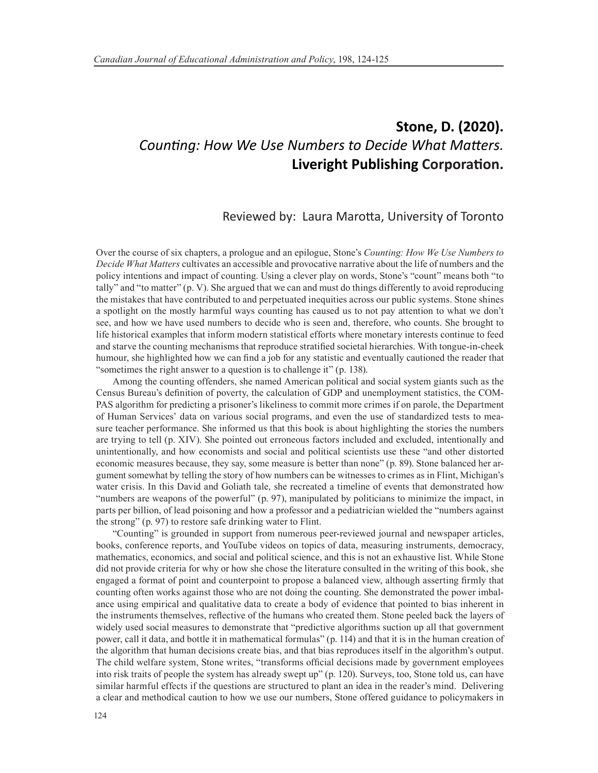## **Stone, D. (2020).** *Counting: How We Use Numbers to Decide What Matters.* **Liveright Publishing Corporation.**

## Reviewed by: Laura Marotta, University of Toronto

Over the course of six chapters, a prologue and an epilogue, Stone's *Counting: How We Use Numbers to Decide What Matters* cultivates an accessible and provocative narrative about the life of numbers and the policy intentions and impact of counting. Using a clever play on words, Stone's "count" means both "to tally" and "to matter" (p. V). She argued that we can and must do things differently to avoid reproducing the mistakes that have contributed to and perpetuated inequities across our public systems. Stone shines a spotlight on the mostly harmful ways counting has caused us to not pay attention to what we don't see, and how we have used numbers to decide who is seen and, therefore, who counts. She brought to life historical examples that inform modern statistical efforts where monetary interests continue to feed and starve the counting mechanisms that reproduce stratified societal hierarchies. With tongue-in-cheek humour, she highlighted how we can find a job for any statistic and eventually cautioned the reader that "sometimes the right answer to a question is to challenge it" (p. 138).

Among the counting offenders, she named American political and social system giants such as the Census Bureau's definition of poverty, the calculation of GDP and unemployment statistics, the COM-PAS algorithm for predicting a prisoner's likeliness to commit more crimes if on parole, the Department of Human Services' data on various social programs, and even the use of standardized tests to measure teacher performance. She informed us that this book is about highlighting the stories the numbers are trying to tell (p. XIV). She pointed out erroneous factors included and excluded, intentionally and unintentionally, and how economists and social and political scientists use these "and other distorted economic measures because, they say, some measure is better than none" (p. 89). Stone balanced her argument somewhat by telling the story of how numbers can be witnesses to crimes as in Flint, Michigan's water crisis. In this David and Goliath tale, she recreated a timeline of events that demonstrated how "numbers are weapons of the powerful" (p. 97), manipulated by politicians to minimize the impact, in parts per billion, of lead poisoning and how a professor and a pediatrician wielded the "numbers against the strong" (p. 97) to restore safe drinking water to Flint.

"Counting" is grounded in support from numerous peer-reviewed journal and newspaper articles, books, conference reports, and YouTube videos on topics of data, measuring instruments, democracy, mathematics, economics, and social and political science, and this is not an exhaustive list. While Stone did not provide criteria for why or how she chose the literature consulted in the writing of this book, she engaged a format of point and counterpoint to propose a balanced view, although asserting firmly that counting often works against those who are not doing the counting. She demonstrated the power imbalance using empirical and qualitative data to create a body of evidence that pointed to bias inherent in the instruments themselves, reflective of the humans who created them. Stone peeled back the layers of widely used social measures to demonstrate that "predictive algorithms suction up all that government power, call it data, and bottle it in mathematical formulas" (p. 114) and that it is in the human creation of the algorithm that human decisions create bias, and that bias reproduces itself in the algorithm's output. The child welfare system, Stone writes, "transforms official decisions made by government employees into risk traits of people the system has already swept up" (p. 120). Surveys, too, Stone told us, can have similar harmful effects if the questions are structured to plant an idea in the reader's mind. Delivering a clear and methodical caution to how we use our numbers, Stone offered guidance to policymakers in